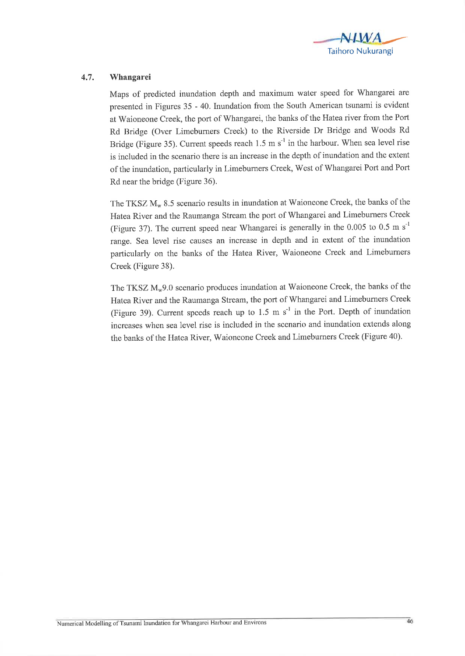

## 4.7. Whangarei

Maps of predicted inundation depth and maximum water speed for Whangarei are presented in Figures 35 - 40. Inundation from the South American tsunami is evident at Waioneone Creek, the port of Whangarei, the banks of the Hatea river from the Port Rd Bridge (Over Limeburners Creek) to the Riverside Dr Bridge and Woods Rd Bridge (Figure 35). Current speeds reach 1.5 m  $s^{-1}$  in the harbour. When sea level rise is included in the scenario there is an increase in the depth of inundation and the extent of the inundation, particularly in Limeburners Creek, West of Whangarei Port and Port Rd near the bridge (Figure 36).

The TKSZ  $M_w$  8.5 scenario results in inundation at Waioneone Creek, the banks of the Hatea River and the Raumanga Stream the port of Whangarei and Limeburners Creek (Figure 37). The current speed near Whangarei is generally in the 0.005 to 0.5 m  $s^{-1}$ range. Sea level rise causes an increase in depth and in extent of the inundation particularly on the banks of the Hatea River, Waioneone Creek and Limeburners Creek (Figure 38).

The TKSZ  $M<sub>w</sub>9.0$  scenario produces inundation at Waioneone Creek, the banks of the Hatea River and the Raumanga Stream, the port of Whangarei and Limeburners Creek (Figure 39). Current speeds reach up to 1.5 m  $s^{-1}$  in the Port. Depth of inundation increases when sea level rise is included in the scenario and inundation extends along the banks of the Hatea River, Waioneone Creek and Limeburners Creek (Figure 40).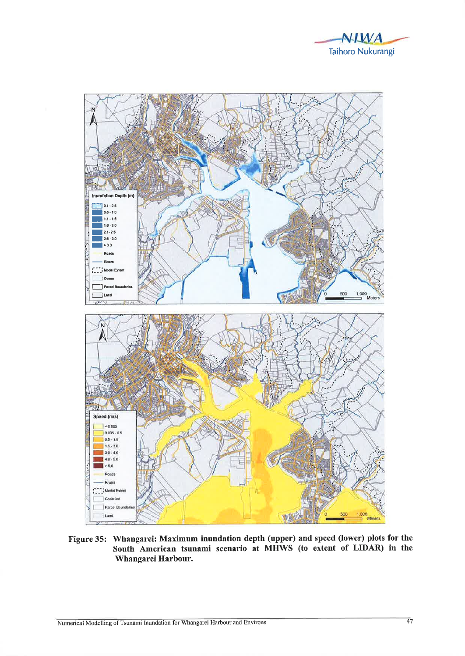



Figure 35: Whangarei: Maximum inundation depth (upper) and speed (lower) plots for the South American tsunami scenario at MHWS (to extent of LIDAR) in the Whangarei Harbour.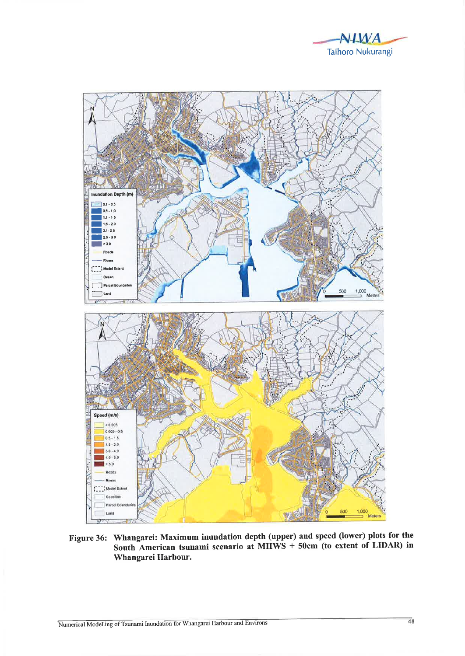



Figure 36: Whangarei: Maximum inundation depth (upper) and speed (lower) plots for the South American tsunami scenario at MHWS + 50cm (to extent of LIDAR) in Whangarei Harbour.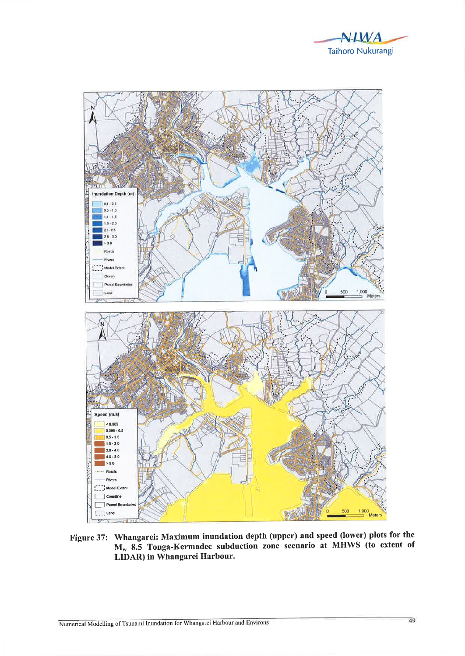



Figure 37: Whangarei: Maximum inundation depth (upper) and speed (lower) plots for the M<sub>w</sub> 8.5 Tonga-Kermadec subduction zone scenario at MHWS (to extent of LIDAR) in Whangarei Harbour.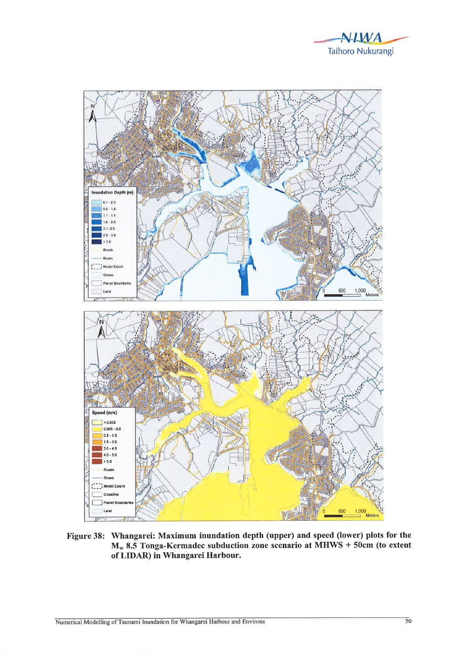



Figure 38: Whangarei: Maximum inundation depth (upper) and speed (lower) plots for the  $M_w$  8.5 Tonga-Kermadec subduction zone scenario at MHWS + 50cm (to extent of LIDAR) in Whangarei Harbour.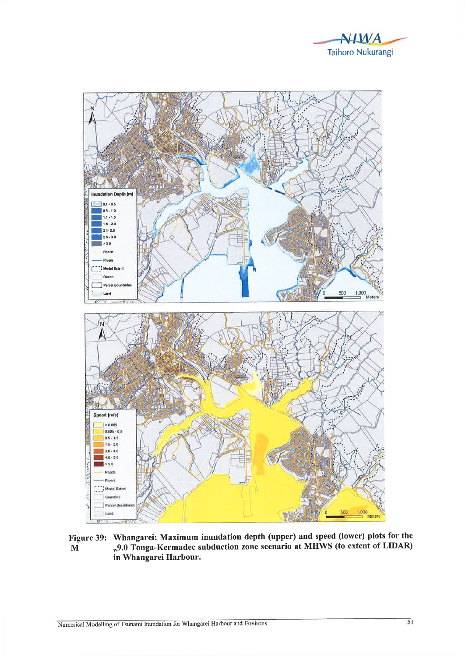



Figure 39: Whangarei: Maximum inundation depth (upper) and speed (lower) plots for the "9.0 Tonga-Kermadec subduction zone scenario at MHWS (to extent of LIDAR)  $\mathbf{M}$ in Whangarei Harbour.